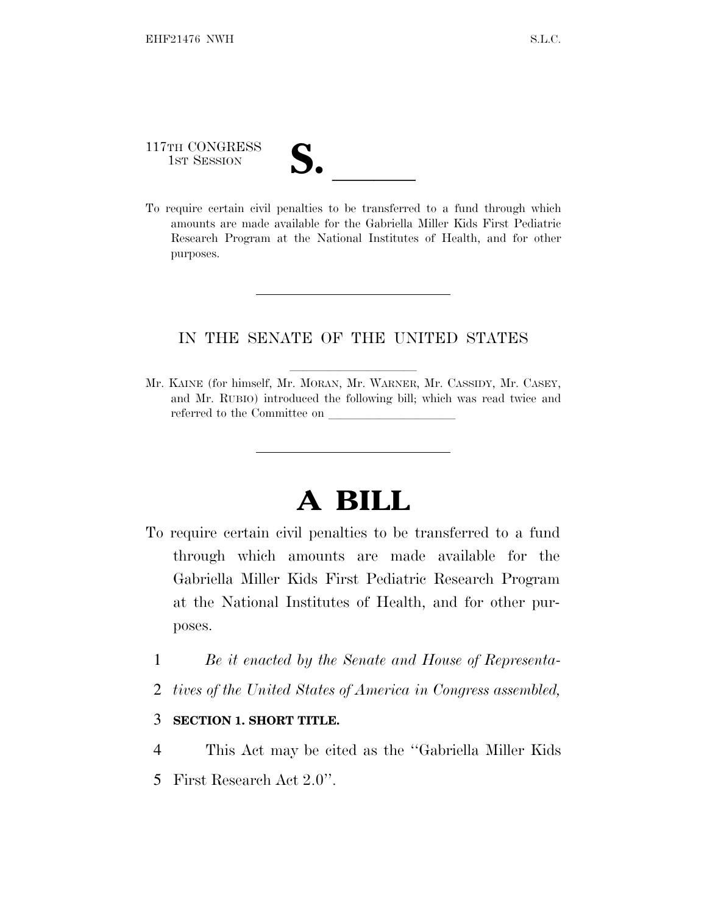117TH CONGRESS

117TH CONGRESS<br>
1ST SESSION<br>
To require certain civil penalties to be transferred to a fund through which amounts are made available for the Gabriella Miller Kids First Pediatric Research Program at the National Institutes of Health, and for other purposes.

## IN THE SENATE OF THE UNITED STATES

Mr. KAINE (for himself, Mr. MORAN, Mr. WARNER, Mr. CASSIDY, Mr. CASEY, and Mr. RUBIO) introduced the following bill; which was read twice and referred to the Committee on

## **A BILL**

- To require certain civil penalties to be transferred to a fund through which amounts are made available for the Gabriella Miller Kids First Pediatric Research Program at the National Institutes of Health, and for other purposes.
	- 1 *Be it enacted by the Senate and House of Representa-*
	- 2 *tives of the United States of America in Congress assembled,*

## 3 **SECTION 1. SHORT TITLE.**

- 4 This Act may be cited as the ''Gabriella Miller Kids
- 5 First Research Act 2.0''.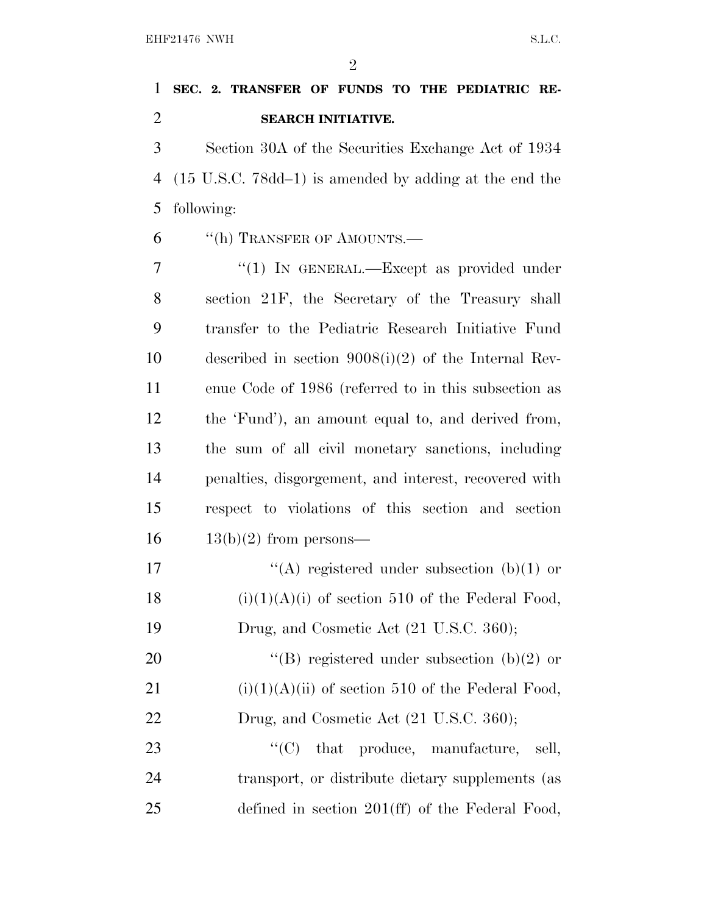$\mathfrak{D}$ 

## **SEC. 2. TRANSFER OF FUNDS TO THE PEDIATRIC RE-SEARCH INITIATIVE.**

 Section 30A of the Securities Exchange Act of 1934 (15 U.S.C. 78dd–1) is amended by adding at the end the following:

''(h) TRANSFER OF AMOUNTS.—

7 "(1) IN GENERAL.—Except as provided under section 21F, the Secretary of the Treasury shall transfer to the Pediatric Research Initiative Fund described in section 9008(i)(2) of the Internal Rev- enue Code of 1986 (referred to in this subsection as the 'Fund'), an amount equal to, and derived from, the sum of all civil monetary sanctions, including penalties, disgorgement, and interest, recovered with respect to violations of this section and section  $16 \qquad 13(b)(2)$  from persons—  $\langle (A)$  registered under subsection (b)(1) or 18 (i)(1)(A)(i) of section 510 of the Federal Food, Drug, and Cosmetic Act (21 U.S.C. 360);

20  $\text{``(B)}$  registered under subsection (b)(2) or 21 (i)(1)(A)(ii) of section 510 of the Federal Food, 22 Drug, and Cosmetic Act (21 U.S.C. 360);

23  $\text{``(C)}$  that produce, manufacture, sell, transport, or distribute dietary supplements (as defined in section 201(ff) of the Federal Food,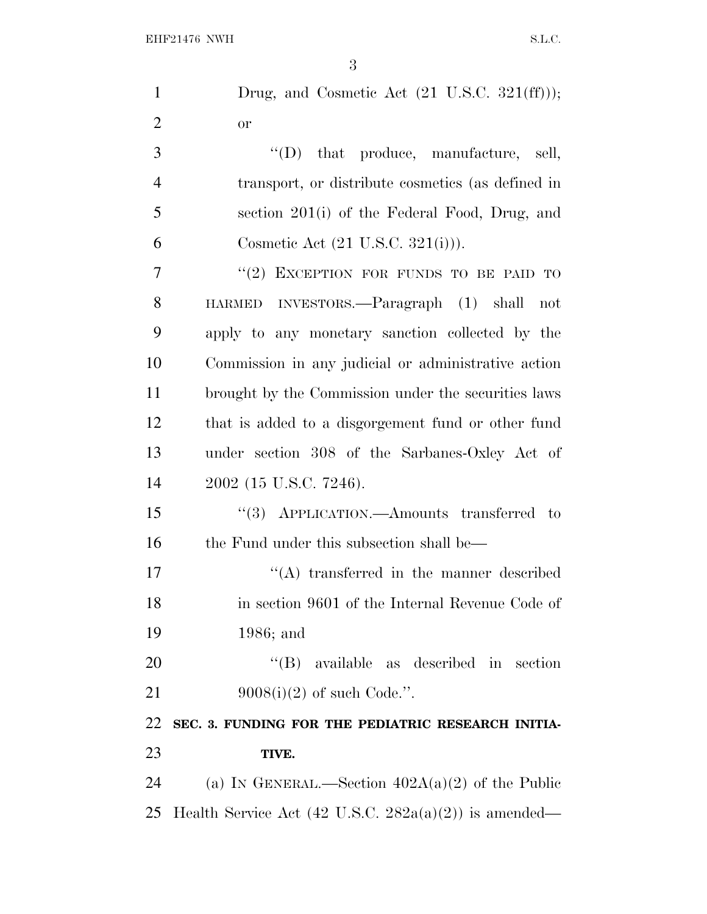| $\mathbf{1}$   | Drug, and Cosmetic Act (21 U.S.C. 321(ff)));                     |
|----------------|------------------------------------------------------------------|
| $\overline{2}$ | <b>or</b>                                                        |
| 3              | $\lq\lq$ (D) that produce, manufacture, sell,                    |
| $\overline{4}$ | transport, or distribute cosmetics (as defined in                |
| 5              | section 201(i) of the Federal Food, Drug, and                    |
| 6              | Cosmetic Act $(21 \text{ U.S.C. } 321(i))$ .                     |
| $\overline{7}$ | "(2) EXCEPTION FOR FUNDS TO BE PAID TO                           |
| 8              | HARMED INVESTORS.—Paragraph (1) shall not                        |
| 9              | apply to any monetary sanction collected by the                  |
| 10             | Commission in any judicial or administrative action              |
| 11             | brought by the Commission under the securities laws              |
| 12             | that is added to a disgorgement fund or other fund               |
| 13             | under section 308 of the Sarbanes-Oxley Act of                   |
| 14             | 2002 (15 U.S.C. 7246).                                           |
| 15             | "(3) APPLICATION.—Amounts transferred to                         |
| 16             | the Fund under this subsection shall be—                         |
| 17             | $\lq\lq$ transferred in the manner described                     |
| 18             | in section 9601 of the Internal Revenue Code of                  |
| 19             | $1986$ ; and                                                     |
| 20             | $\lq\lq$ (B) available as described in section                   |
| 21             | $9008(i)(2)$ of such Code.".                                     |
| 22             | SEC. 3. FUNDING FOR THE PEDIATRIC RESEARCH INITIA-               |
| 23             | TIVE.                                                            |
| 24             | (a) IN GENERAL.—Section $402A(a)(2)$ of the Public               |
| 25             | Health Service Act $(42 \text{ U.S.C. } 282a(a)(2))$ is amended— |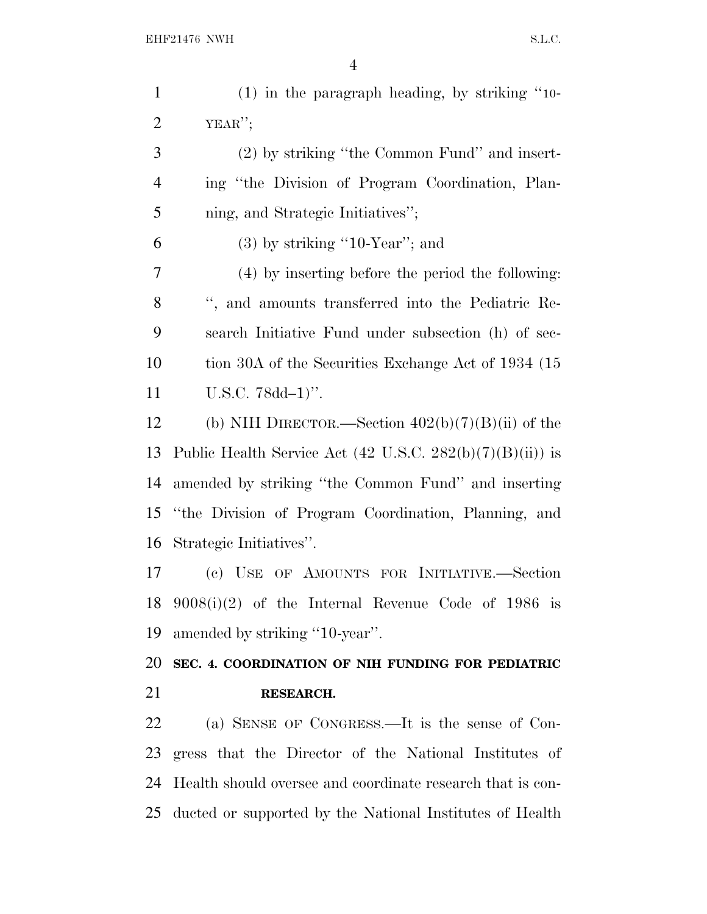| $\mathbf{1}$   | $(1)$ in the paragraph heading, by striking "10-                     |
|----------------|----------------------------------------------------------------------|
| $\overline{2}$ | YEAR''                                                               |
| 3              | (2) by striking "the Common Fund" and insert-                        |
| $\overline{4}$ | ing "the Division of Program Coordination, Plan-                     |
| 5              | ning, and Strategic Initiatives";                                    |
| 6              | $(3)$ by striking "10-Year"; and                                     |
| $\overline{7}$ | (4) by inserting before the period the following:                    |
| 8              | ", and amounts transferred into the Pediatric Re-                    |
| 9              | search Initiative Fund under subsection (h) of sec-                  |
| 10             | tion 30A of the Securities Exchange Act of 1934 (15)                 |
| 11             | $U.S.C. 78dd-1)$ ".                                                  |
| 12             | (b) NIH DIRECTOR.—Section $402(b)(7)(B)(ii)$ of the                  |
| 13             | Public Health Service Act $(42 \text{ U.S.C. } 282(b)(7)(B)(ii))$ is |
| 14             | amended by striking "the Common Fund" and inserting                  |
| 15             | "the Division of Program Coordination, Planning, and                 |
| 16             | Strategic Initiatives".                                              |
| 17             | (c) USE OF AMOUNTS FOR INITIATIVE.-Section                           |
|                | 18 $9008(i)(2)$ of the Internal Revenue Code of 1986 is              |
| 19             | amended by striking "10-year".                                       |
| 20             | SEC. 4. COORDINATION OF NIH FUNDING FOR PEDIATRIC                    |
| 21             | RESEARCH.                                                            |
| 22             | (a) SENSE OF CONGRESS.—It is the sense of Con-                       |
| 23             | gress that the Director of the National Institutes of                |
| 24             | Health should oversee and coordinate research that is con-           |

ducted or supported by the National Institutes of Health